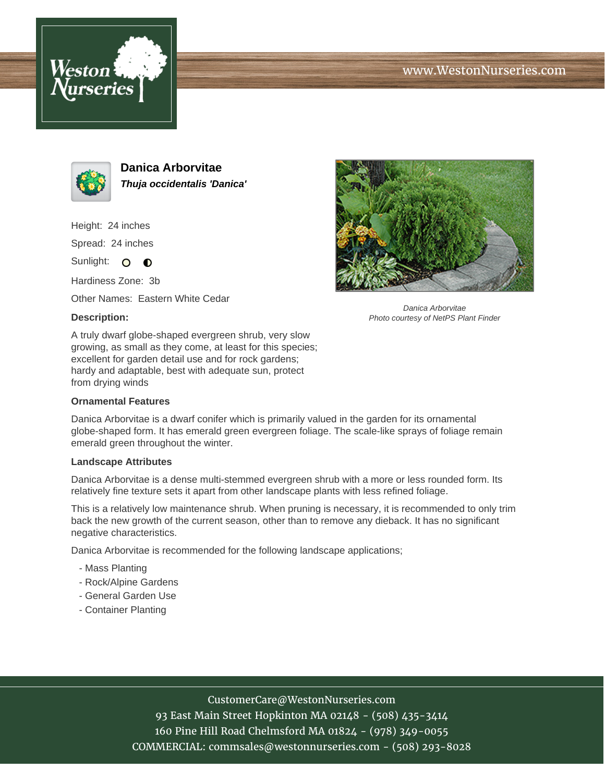





**Danica Arborvitae Thuja occidentalis 'Danica'**

Height: 24 inches Spread: 24 inches

Sunlight: O **O** 

Hardiness Zone: 3b

Other Names: Eastern White Cedar

### **Description:**



Danica Arborvitae Photo courtesy of NetPS Plant Finder

A truly dwarf globe-shaped evergreen shrub, very slow growing, as small as they come, at least for this species; excellent for garden detail use and for rock gardens; hardy and adaptable, best with adequate sun, protect from drying winds

#### **Ornamental Features**

Danica Arborvitae is a dwarf conifer which is primarily valued in the garden for its ornamental globe-shaped form. It has emerald green evergreen foliage. The scale-like sprays of foliage remain emerald green throughout the winter.

#### **Landscape Attributes**

Danica Arborvitae is a dense multi-stemmed evergreen shrub with a more or less rounded form. Its relatively fine texture sets it apart from other landscape plants with less refined foliage.

This is a relatively low maintenance shrub. When pruning is necessary, it is recommended to only trim back the new growth of the current season, other than to remove any dieback. It has no significant negative characteristics.

Danica Arborvitae is recommended for the following landscape applications;

- Mass Planting
- Rock/Alpine Gardens
- General Garden Use
- Container Planting

# CustomerCare@WestonNurseries.com

93 East Main Street Hopkinton MA 02148 - (508) 435-3414 160 Pine Hill Road Chelmsford MA 01824 - (978) 349-0055 COMMERCIAL: commsales@westonnurseries.com - (508) 293-8028